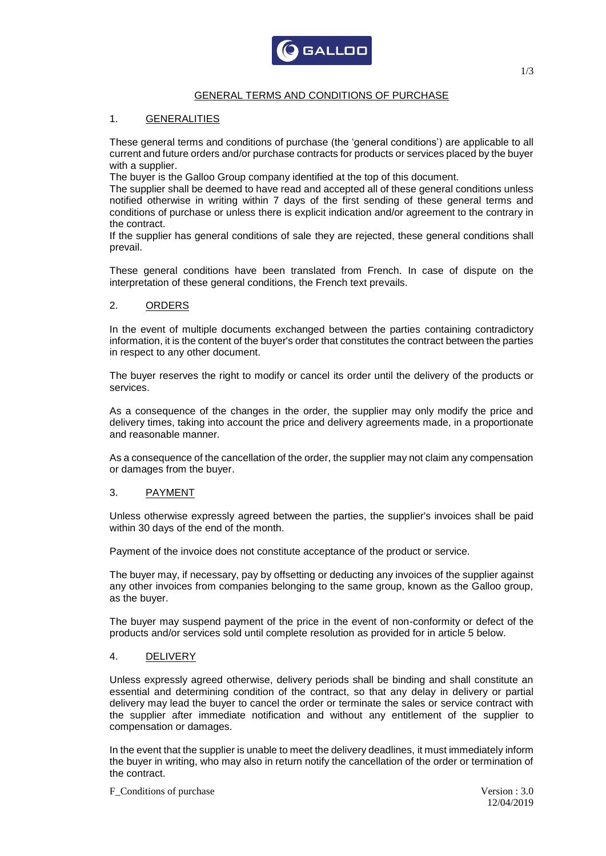

### GENERAL TERMS AND CONDITIONS OF PURCHASE

### 1. GENERALITIES

These general terms and conditions of purchase (the 'general conditions') are applicable to all current and future orders and/or purchase contracts for products or services placed by the buyer with a supplier.

The buyer is the Galloo Group company identified at the top of this document.

The supplier shall be deemed to have read and accepted all of these general conditions unless notified otherwise in writing within 7 days of the first sending of these general terms and conditions of purchase or unless there is explicit indication and/or agreement to the contrary in the contract.

If the supplier has general conditions of sale they are rejected, these general conditions shall prevail.

These general conditions have been translated from French. In case of dispute on the interpretation of these general conditions, the French text prevails.

### 2. ORDERS

In the event of multiple documents exchanged between the parties containing contradictory information, it is the content of the buyer's order that constitutes the contract between the parties in respect to any other document.

The buyer reserves the right to modify or cancel its order until the delivery of the products or services.

As a consequence of the changes in the order, the supplier may only modify the price and delivery times, taking into account the price and delivery agreements made, in a proportionate and reasonable manner.

As a consequence of the cancellation of the order, the supplier may not claim any compensation or damages from the buyer.

#### 3. PAYMENT

Unless otherwise expressly agreed between the parties, the supplier's invoices shall be paid within 30 days of the end of the month.

Payment of the invoice does not constitute acceptance of the product or service.

The buyer may, if necessary, pay by offsetting or deducting any invoices of the supplier against any other invoices from companies belonging to the same group, known as the Galloo group, as the buyer.

The buyer may suspend payment of the price in the event of non-conformity or defect of the products and/or services sold until complete resolution as provided for in article 5 below.

#### 4. DELIVERY

Unless expressly agreed otherwise, delivery periods shall be binding and shall constitute an essential and determining condition of the contract, so that any delay in delivery or partial delivery may lead the buyer to cancel the order or terminate the sales or service contract with the supplier after immediate notification and without any entitlement of the supplier to compensation or damages.

In the event that the supplier is unable to meet the delivery deadlines, it must immediately inform the buyer in writing, who may also in return notify the cancellation of the order or termination of the contract.

F Conditions of purchase Version : 3.0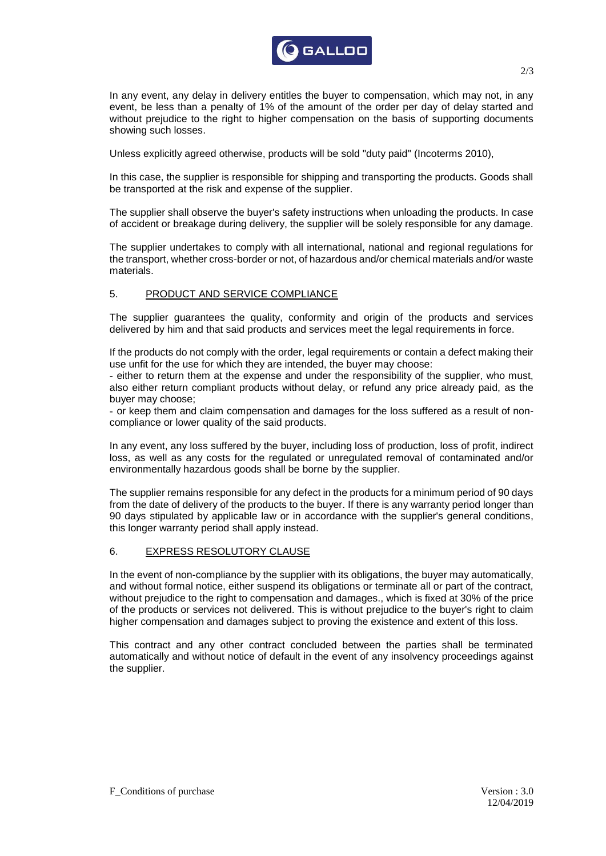

In any event, any delay in delivery entitles the buyer to compensation, which may not, in any event, be less than a penalty of 1% of the amount of the order per day of delay started and without prejudice to the right to higher compensation on the basis of supporting documents showing such losses.

Unless explicitly agreed otherwise, products will be sold "duty paid" (Incoterms 2010),

In this case, the supplier is responsible for shipping and transporting the products. Goods shall be transported at the risk and expense of the supplier.

The supplier shall observe the buyer's safety instructions when unloading the products. In case of accident or breakage during delivery, the supplier will be solely responsible for any damage.

The supplier undertakes to comply with all international, national and regional regulations for the transport, whether cross-border or not, of hazardous and/or chemical materials and/or waste materials.

## 5. PRODUCT AND SERVICE COMPLIANCE

The supplier guarantees the quality, conformity and origin of the products and services delivered by him and that said products and services meet the legal requirements in force.

If the products do not comply with the order, legal requirements or contain a defect making their use unfit for the use for which they are intended, the buyer may choose:

- either to return them at the expense and under the responsibility of the supplier, who must, also either return compliant products without delay, or refund any price already paid, as the buyer may choose;

- or keep them and claim compensation and damages for the loss suffered as a result of noncompliance or lower quality of the said products.

In any event, any loss suffered by the buyer, including loss of production, loss of profit, indirect loss, as well as any costs for the regulated or unregulated removal of contaminated and/or environmentally hazardous goods shall be borne by the supplier.

The supplier remains responsible for any defect in the products for a minimum period of 90 days from the date of delivery of the products to the buyer. If there is any warranty period longer than 90 days stipulated by applicable law or in accordance with the supplier's general conditions, this longer warranty period shall apply instead.

### 6. EXPRESS RESOLUTORY CLAUSE

In the event of non-compliance by the supplier with its obligations, the buyer may automatically, and without formal notice, either suspend its obligations or terminate all or part of the contract, without prejudice to the right to compensation and damages., which is fixed at 30% of the price of the products or services not delivered. This is without prejudice to the buyer's right to claim higher compensation and damages subject to proving the existence and extent of this loss.

This contract and any other contract concluded between the parties shall be terminated automatically and without notice of default in the event of any insolvency proceedings against the supplier.